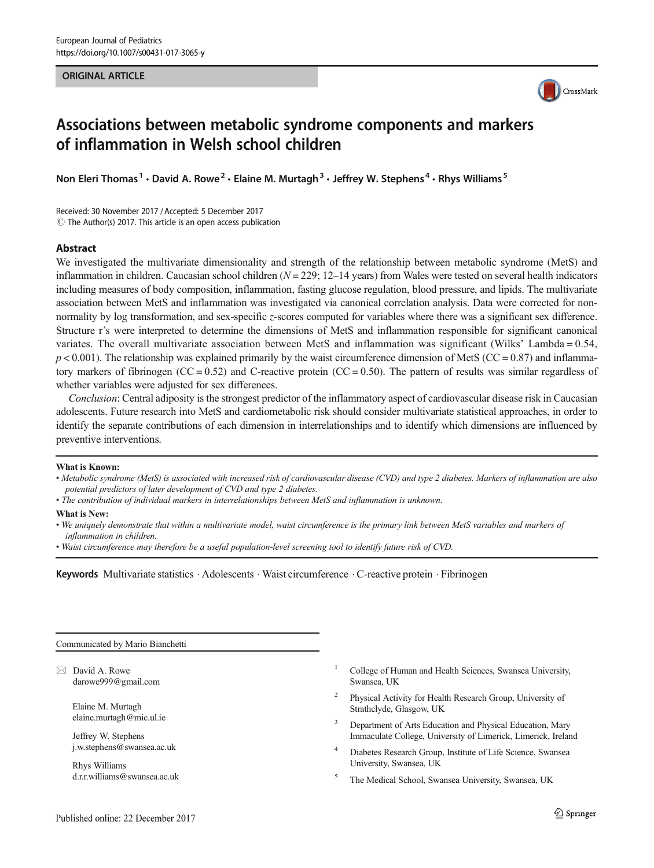#### ORIGINAL ARTICLE



# Associations between metabolic syndrome components and markers of inflammation in Welsh school children

Non Eleri Thomas<sup>1</sup> • David A. Rowe<sup>2</sup> • Elaine M. Murtagh<sup>3</sup> • Jeffrey W. Stephens<sup>4</sup> • Rhys Williams<sup>5</sup>

Received: 30 November 2017 /Accepted: 5 December 2017  $\odot$  The Author(s) 2017. This article is an open access publication

#### Abstract

We investigated the multivariate dimensionality and strength of the relationship between metabolic syndrome (MetS) and inflammation in children. Caucasian school children  $(N = 229; 12-14$  years) from Wales were tested on several health indicators including measures of body composition, inflammation, fasting glucose regulation, blood pressure, and lipids. The multivariate association between MetS and inflammation was investigated via canonical correlation analysis. Data were corrected for nonnormality by log transformation, and sex-specific z-scores computed for variables where there was a significant sex difference. Structure r's were interpreted to determine the dimensions of MetS and inflammation responsible for significant canonical variates. The overall multivariate association between MetS and inflammation was significant (Wilks' Lambda = 0.54,  $p < 0.001$ ). The relationship was explained primarily by the waist circumference dimension of MetS (CC = 0.87) and inflammatory markers of fibrinogen ( $CC = 0.52$ ) and C-reactive protein ( $CC = 0.50$ ). The pattern of results was similar regardless of whether variables were adjusted for sex differences.

Conclusion: Central adiposity is the strongest predictor of the inflammatory aspect of cardiovascular disease risk in Caucasian adolescents. Future research into MetS and cardiometabolic risk should consider multivariate statistical approaches, in order to identify the separate contributions of each dimension in interrelationships and to identify which dimensions are influenced by preventive interventions.

#### What is Known:

- Metabolic syndrome (MetS) is associated with increased risk of cardiovascular disease (CVD) and type 2 diabetes. Markers of inflammation are also potential predictors of later development of CVD and type 2 diabetes.
- The contribution of individual markers in interrelationships between MetS and inflammation is unknown.

#### What is New:

- We uniquely demonstrate that within a multivariate model, waist circumference is the primary link between MetS variables and markers of inflammation in children.
- Waist circumference may therefore be a useful population-level screening tool to identify future risk of CVD.

Keywords Multivariate statistics · Adolescents · Waist circumference · C-reactive protein · Fibrinogen

#### Communicated by Mario Bianchetti

 $\boxtimes$  David A. Rowe darowe999@gmail.com

> Elaine M. Murtagh elaine.murtagh@mic.ul.ie

Jeffrey W. Stephens j.w.stephens@swansea.ac.uk

Rhys Williams d.r.r.williams@swansea.ac.uk

- <sup>1</sup> College of Human and Health Sciences, Swansea University, Swansea, UK
- <sup>2</sup> Physical Activity for Health Research Group, University of Strathclyde, Glasgow, UK
- Department of Arts Education and Physical Education, Mary Immaculate College, University of Limerick, Limerick, Ireland
- <sup>4</sup> Diabetes Research Group, Institute of Life Science, Swansea University, Swansea, UK
- <sup>5</sup> The Medical School, Swansea University, Swansea, UK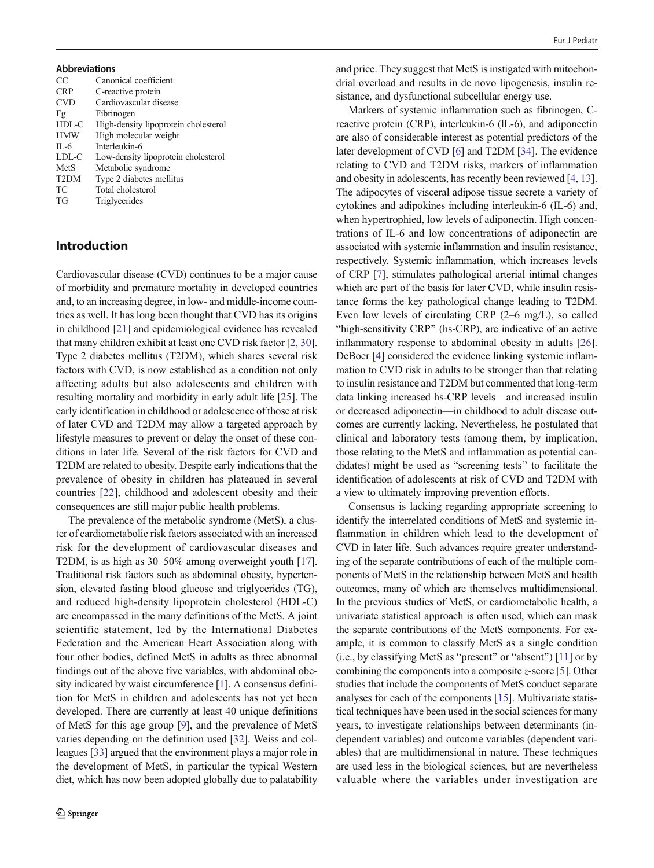#### Abbreviations

| CC                | Canonical coefficient                |
|-------------------|--------------------------------------|
| <b>CRP</b>        | C-reactive protein                   |
| <b>CVD</b>        | Cardiovascular disease               |
| Fg                | Fibrinogen                           |
| HDL-C             | High-density lipoprotein cholesterol |
| <b>HMW</b>        | High molecular weight                |
| $\Pi_{c}$ -6      | Interleukin-6                        |
| LDL-C             | Low-density lipoprotein cholesterol  |
| MetS              | Metabolic syndrome                   |
| T <sub>2</sub> DM | Type 2 diabetes mellitus             |
| <b>TC</b>         | Total cholesterol                    |
| TG                | Triglycerides                        |
|                   |                                      |

# Introduction

Cardiovascular disease (CVD) continues to be a major cause of morbidity and premature mortality in developed countries and, to an increasing degree, in low- and middle-income countries as well. It has long been thought that CVD has its origins in childhood [\[21\]](#page-7-0) and epidemiological evidence has revealed that many children exhibit at least one CVD risk factor [\[2](#page-7-0), [30\]](#page-8-0). Type 2 diabetes mellitus (T2DM), which shares several risk factors with CVD, is now established as a condition not only affecting adults but also adolescents and children with resulting mortality and morbidity in early adult life [[25\]](#page-7-0). The early identification in childhood or adolescence of those at risk of later CVD and T2DM may allow a targeted approach by lifestyle measures to prevent or delay the onset of these conditions in later life. Several of the risk factors for CVD and T2DM are related to obesity. Despite early indications that the prevalence of obesity in children has plateaued in several countries [\[22](#page-7-0)], childhood and adolescent obesity and their consequences are still major public health problems.

The prevalence of the metabolic syndrome (MetS), a cluster of cardiometabolic risk factors associated with an increased risk for the development of cardiovascular diseases and T2DM, is as high as 30–50% among overweight youth [[17\]](#page-7-0). Traditional risk factors such as abdominal obesity, hypertension, elevated fasting blood glucose and triglycerides (TG), and reduced high-density lipoprotein cholesterol (HDL-C) are encompassed in the many definitions of the MetS. A joint scientific statement, led by the International Diabetes Federation and the American Heart Association along with four other bodies, defined MetS in adults as three abnormal findings out of the above five variables, with abdominal obesity indicated by waist circumference [[1\]](#page-7-0). A consensus definition for MetS in children and adolescents has not yet been developed. There are currently at least 40 unique definitions of MetS for this age group [[9\]](#page-7-0), and the prevalence of MetS varies depending on the definition used [[32](#page-8-0)]. Weiss and colleagues [\[33](#page-8-0)] argued that the environment plays a major role in the development of MetS, in particular the typical Western diet, which has now been adopted globally due to palatability and price. They suggest that MetS is instigated with mitochondrial overload and results in de novo lipogenesis, insulin resistance, and dysfunctional subcellular energy use.

Markers of systemic inflammation such as fibrinogen, Creactive protein (CRP), interleukin-6 (lL-6), and adiponectin are also of considerable interest as potential predictors of the later development of CVD [\[6\]](#page-7-0) and T2DM [\[34](#page-8-0)]. The evidence relating to CVD and T2DM risks, markers of inflammation and obesity in adolescents, has recently been reviewed [[4](#page-7-0), [13\]](#page-7-0). The adipocytes of visceral adipose tissue secrete a variety of cytokines and adipokines including interleukin-6 (IL-6) and, when hypertrophied, low levels of adiponectin. High concentrations of IL-6 and low concentrations of adiponectin are associated with systemic inflammation and insulin resistance, respectively. Systemic inflammation, which increases levels of CRP [\[7](#page-7-0)], stimulates pathological arterial intimal changes which are part of the basis for later CVD, while insulin resistance forms the key pathological change leading to T2DM. Even low levels of circulating CRP (2–6 mg/L), so called "high-sensitivity CRP" (hs-CRP), are indicative of an active inflammatory response to abdominal obesity in adults [[26\]](#page-8-0). DeBoer [\[4](#page-7-0)] considered the evidence linking systemic inflammation to CVD risk in adults to be stronger than that relating to insulin resistance and T2DM but commented that long-term data linking increased hs-CRP levels—and increased insulin or decreased adiponectin—in childhood to adult disease outcomes are currently lacking. Nevertheless, he postulated that clinical and laboratory tests (among them, by implication, those relating to the MetS and inflammation as potential candidates) might be used as "screening tests" to facilitate the identification of adolescents at risk of CVD and T2DM with a view to ultimately improving prevention efforts.

Consensus is lacking regarding appropriate screening to identify the interrelated conditions of MetS and systemic inflammation in children which lead to the development of CVD in later life. Such advances require greater understanding of the separate contributions of each of the multiple components of MetS in the relationship between MetS and health outcomes, many of which are themselves multidimensional. In the previous studies of MetS, or cardiometabolic health, a univariate statistical approach is often used, which can mask the separate contributions of the MetS components. For example, it is common to classify MetS as a single condition (i.e., by classifying MetS as "present" or "absent") [[11](#page-7-0)] or by combining the components into a composite  $z$ -score [[5\]](#page-7-0). Other studies that include the components of MetS conduct separate analyses for each of the components [\[15](#page-7-0)]. Multivariate statistical techniques have been used in the social sciences for many years, to investigate relationships between determinants (independent variables) and outcome variables (dependent variables) that are multidimensional in nature. These techniques are used less in the biological sciences, but are nevertheless valuable where the variables under investigation are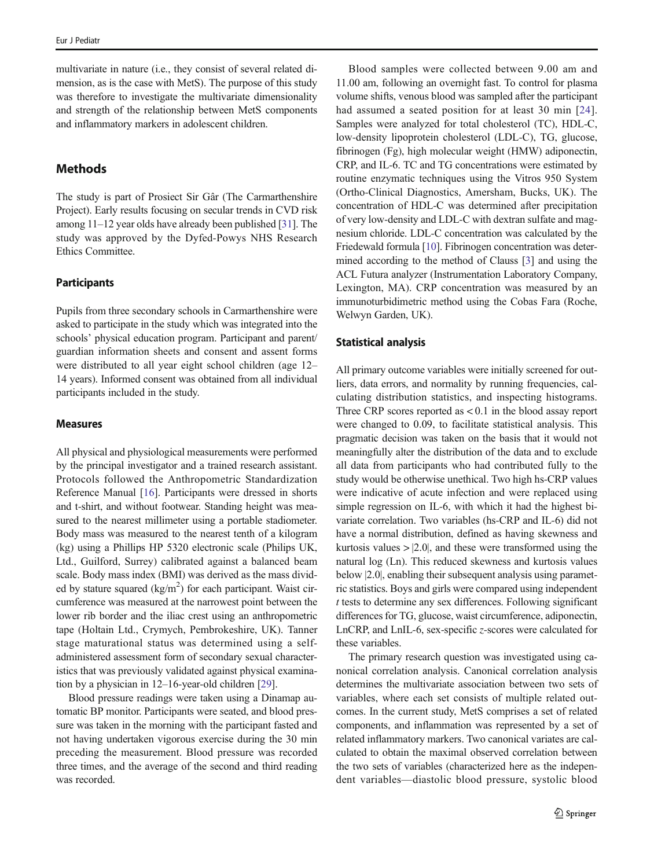multivariate in nature (i.e., they consist of several related dimension, as is the case with MetS). The purpose of this study was therefore to investigate the multivariate dimensionality and strength of the relationship between MetS components and inflammatory markers in adolescent children.

# **Methods**

The study is part of Prosiect Sir Gâr (The Carmarthenshire Project). Early results focusing on secular trends in CVD risk among 11–12 year olds have already been published [[31](#page-8-0)]. The study was approved by the Dyfed-Powys NHS Research Ethics Committee.

## **Participants**

Pupils from three secondary schools in Carmarthenshire were asked to participate in the study which was integrated into the schools' physical education program. Participant and parent/ guardian information sheets and consent and assent forms were distributed to all year eight school children (age 12– 14 years). Informed consent was obtained from all individual participants included in the study.

## Measures

All physical and physiological measurements were performed by the principal investigator and a trained research assistant. Protocols followed the Anthropometric Standardization Reference Manual [[16\]](#page-7-0). Participants were dressed in shorts and t-shirt, and without footwear. Standing height was measured to the nearest millimeter using a portable stadiometer. Body mass was measured to the nearest tenth of a kilogram (kg) using a Phillips HP 5320 electronic scale (Philips UK, Ltd., Guilford, Surrey) calibrated against a balanced beam scale. Body mass index (BMI) was derived as the mass divided by stature squared  $(kg/m^2)$  for each participant. Waist circumference was measured at the narrowest point between the lower rib border and the iliac crest using an anthropometric tape (Holtain Ltd., Crymych, Pembrokeshire, UK). Tanner stage maturational status was determined using a selfadministered assessment form of secondary sexual characteristics that was previously validated against physical examination by a physician in 12–16-year-old children [[29](#page-8-0)].

Blood pressure readings were taken using a Dinamap automatic BP monitor. Participants were seated, and blood pressure was taken in the morning with the participant fasted and not having undertaken vigorous exercise during the 30 min preceding the measurement. Blood pressure was recorded three times, and the average of the second and third reading was recorded.

Blood samples were collected between 9.00 am and 11.00 am, following an overnight fast. To control for plasma volume shifts, venous blood was sampled after the participant had assumed a seated position for at least 30 min [[24](#page-7-0)]. Samples were analyzed for total cholesterol (TC), HDL-C, low-density lipoprotein cholesterol (LDL-C), TG, glucose, fibrinogen (Fg), high molecular weight (HMW) adiponectin, CRP, and IL-6. TC and TG concentrations were estimated by routine enzymatic techniques using the Vitros 950 System (Ortho-Clinical Diagnostics, Amersham, Bucks, UK). The concentration of HDL-C was determined after precipitation of very low-density and LDL-C with dextran sulfate and magnesium chloride. LDL-C concentration was calculated by the Friedewald formula [[10](#page-7-0)]. Fibrinogen concentration was determined according to the method of Clauss [[3\]](#page-7-0) and using the ACL Futura analyzer (Instrumentation Laboratory Company, Lexington, MA). CRP concentration was measured by an immunoturbidimetric method using the Cobas Fara (Roche, Welwyn Garden, UK).

## Statistical analysis

All primary outcome variables were initially screened for outliers, data errors, and normality by running frequencies, calculating distribution statistics, and inspecting histograms. Three CRP scores reported as < 0.1 in the blood assay report were changed to 0.09, to facilitate statistical analysis. This pragmatic decision was taken on the basis that it would not meaningfully alter the distribution of the data and to exclude all data from participants who had contributed fully to the study would be otherwise unethical. Two high hs-CRP values were indicative of acute infection and were replaced using simple regression on IL-6, with which it had the highest bivariate correlation. Two variables (hs-CRP and IL-6) did not have a normal distribution, defined as having skewness and kurtosis values  $> |2.0|$ , and these were transformed using the natural log (Ln). This reduced skewness and kurtosis values below |2.0|, enabling their subsequent analysis using parametric statistics. Boys and girls were compared using independent t tests to determine any sex differences. Following significant differences for TG, glucose, waist circumference, adiponectin, LnCRP, and LnIL-6, sex-specific z-scores were calculated for these variables.

The primary research question was investigated using canonical correlation analysis. Canonical correlation analysis determines the multivariate association between two sets of variables, where each set consists of multiple related outcomes. In the current study, MetS comprises a set of related components, and inflammation was represented by a set of related inflammatory markers. Two canonical variates are calculated to obtain the maximal observed correlation between the two sets of variables (characterized here as the independent variables—diastolic blood pressure, systolic blood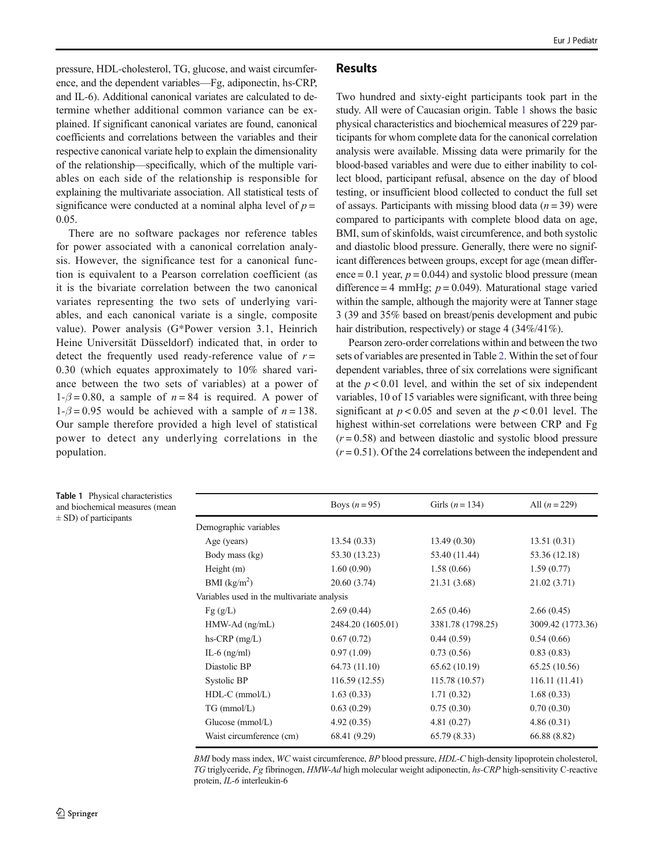pressure, HDL-cholesterol, TG, glucose, and waist circumference, and the dependent variables—Fg, adiponectin, hs-CRP, and IL-6). Additional canonical variates are calculated to determine whether additional common variance can be explained. If significant canonical variates are found, canonical coefficients and correlations between the variables and their respective canonical variate help to explain the dimensionality of the relationship—specifically, which of the multiple variables on each side of the relationship is responsible for explaining the multivariate association. All statistical tests of significance were conducted at a nominal alpha level of  $p =$ 0.05.

There are no software packages nor reference tables for power associated with a canonical correlation analysis. However, the significance test for a canonical function is equivalent to a Pearson correlation coefficient (as it is the bivariate correlation between the two canonical variates representing the two sets of underlying variables, and each canonical variate is a single, composite value). Power analysis (G\*Power version 3.1, Heinrich Heine Universität Düsseldorf) indicated that, in order to detect the frequently used ready-reference value of  $r =$ 0.30 (which equates approximately to 10% shared variance between the two sets of variables) at a power of  $1-\beta = 0.80$ , a sample of  $n = 84$  is required. A power of  $1-\beta = 0.95$  would be achieved with a sample of  $n = 138$ . Our sample therefore provided a high level of statistical power to detect any underlying correlations in the population.

#### Results

Two hundred and sixty-eight participants took part in the study. All were of Caucasian origin. Table 1 shows the basic physical characteristics and biochemical measures of 229 participants for whom complete data for the canonical correlation analysis were available. Missing data were primarily for the blood-based variables and were due to either inability to collect blood, participant refusal, absence on the day of blood testing, or insufficient blood collected to conduct the full set of assays. Participants with missing blood data  $(n = 39)$  were compared to participants with complete blood data on age, BMI, sum of skinfolds, waist circumference, and both systolic and diastolic blood pressure. Generally, there were no significant differences between groups, except for age (mean difference = 0.1 year,  $p = 0.044$ ) and systolic blood pressure (mean difference = 4 mmHg;  $p = 0.049$ ). Maturational stage varied within the sample, although the majority were at Tanner stage 3 (39 and 35% based on breast/penis development and pubic hair distribution, respectively) or stage 4 (34%/41%).

Pearson zero-order correlations within and between the two sets of variables are presented in Table [2](#page-4-0). Within the set of four dependent variables, three of six correlations were significant at the  $p < 0.01$  level, and within the set of six independent variables, 10 of 15 variables were significant, with three being significant at  $p < 0.05$  and seven at the  $p < 0.01$  level. The highest within-set correlations were between CRP and Fg  $(r = 0.58)$  and between diastolic and systolic blood pressure  $(r = 0.51)$ . Of the 24 correlations between the independent and

|                                             | Boys $(n=95)$     | Girls $(n = 134)$ | All $(n = 229)$   |  |  |  |
|---------------------------------------------|-------------------|-------------------|-------------------|--|--|--|
| Demographic variables                       |                   |                   |                   |  |  |  |
| Age (years)                                 | 13.54(0.33)       | 13.49(0.30)       | 13.51(0.31)       |  |  |  |
| Body mass (kg)                              | 53.30 (13.23)     | 53.40 (11.44)     | 53.36 (12.18)     |  |  |  |
| Height $(m)$                                | 1.60(0.90)        | 1.58(0.66)        | 1.59(0.77)        |  |  |  |
| BMI (kg/m <sup>2</sup> )                    | 20.60 (3.74)      | 21.31 (3.68)      | 21.02 (3.71)      |  |  |  |
| Variables used in the multivariate analysis |                   |                   |                   |  |  |  |
| Fg(g/L)                                     | 2.69(0.44)        | 2.65(0.46)        | 2.66(0.45)        |  |  |  |
| $HMW-Ad(ng/mL)$                             | 2484.20 (1605.01) | 3381.78 (1798.25) | 3009.42 (1773.36) |  |  |  |
| $hs-CRP$ (mg/L)                             | 0.67(0.72)        | 0.44(0.59)        | 0.54(0.66)        |  |  |  |
| IL-6 $(ng/ml)$                              | 0.97(1.09)        | 0.73(0.56)        | 0.83(0.83)        |  |  |  |
| Diastolic BP                                | 64.73 (11.10)     | 65.62 (10.19)     | 65.25 (10.56)     |  |  |  |
| Systolic BP                                 | 116.59 (12.55)    | 115.78 (10.57)    | 116.11(11.41)     |  |  |  |
| HDL-C (mmol/L)                              | 1.63(0.33)        | 1.71(0.32)        | 1.68(0.33)        |  |  |  |
| $TG \, (mmol/L)$                            | 0.63(0.29)        | 0.75(0.30)        | 0.70(0.30)        |  |  |  |
| Glucose (mmol/L)                            | 4.92(0.35)        | 4.81(0.27)        | 4.86(0.31)        |  |  |  |
| Waist circumference (cm)                    | 68.41 (9.29)      | 65.79(8.33)       | 66.88 (8.82)      |  |  |  |

BMI body mass index, WC waist circumference, BP blood pressure, HDL-C high-density lipoprotein cholesterol, TG triglyceride, Fg fibrinogen, HMW-Ad high molecular weight adiponectin, hs-CRP high-sensitivity C-reactive protein, IL-6 interleukin-6

Table 1 Physical characteristics and biochemical measures (mean

 $\pm$  SD) of participants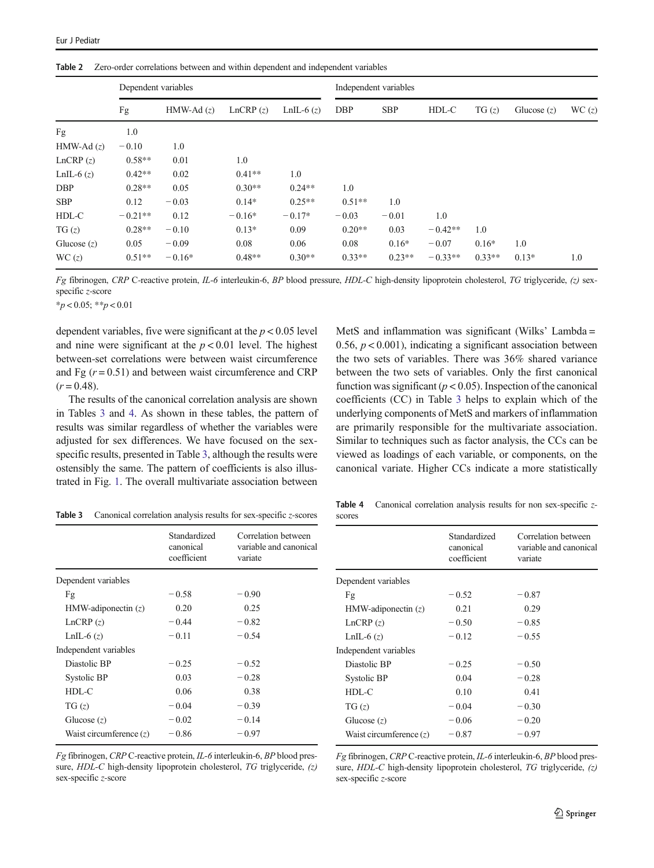|               | Dependent variables |              |          | Independent variables |            |            |           |          |               |       |
|---------------|---------------------|--------------|----------|-----------------------|------------|------------|-----------|----------|---------------|-------|
|               | Fg                  | HMW-Ad $(z)$ | LnCRP(z) | LnIL- $6(z)$          | <b>DBP</b> | <b>SBP</b> | HDL-C     | TG(z)    | Glucose $(z)$ | WC(z) |
| Fg            | 1.0                 |              |          |                       |            |            |           |          |               |       |
| HMW-Ad $(z)$  | $-0.10$             | 1.0          |          |                       |            |            |           |          |               |       |
| LnCRP(z)      | $0.58**$            | 0.01         | 1.0      |                       |            |            |           |          |               |       |
| LnIL- $6(z)$  | $0.42**$            | 0.02         | $0.41**$ | 1.0                   |            |            |           |          |               |       |
| <b>DBP</b>    | $0.28**$            | 0.05         | $0.30**$ | $0.24**$              | 1.0        |            |           |          |               |       |
| <b>SBP</b>    | 0.12                | $-0.03$      | $0.14*$  | $0.25**$              | $0.51**$   | 1.0        |           |          |               |       |
| HDL-C         | $-0.21**$           | 0.12         | $-0.16*$ | $-0.17*$              | $-0.03$    | $-0.01$    | 1.0       |          |               |       |
| TG(z)         | $0.28**$            | $-0.10$      | $0.13*$  | 0.09                  | $0.20**$   | 0.03       | $-0.42**$ | 1.0      |               |       |
| Glucose $(z)$ | 0.05                | $-0.09$      | 0.08     | 0.06                  | 0.08       | $0.16*$    | $-0.07$   | $0.16*$  | 1.0           |       |
| WC(z)         | $0.51**$            | $-0.16*$     | $0.48**$ | $0.30**$              | $0.33**$   | $0.23**$   | $-0.33**$ | $0.33**$ | $0.13*$       | 1.0   |

<span id="page-4-0"></span>Table 2 Zero-order correlations between and within dependent and independent variables

Fg fibrinogen, CRP C-reactive protein, IL-6 interleukin-6, BP blood pressure, HDL-C high-density lipoprotein cholesterol, TG triglyceride, (z) sexspecific z-score

 $*_{p}$  < 0.05;  $*_{p}$  < 0.01

dependent variables, five were significant at the  $p < 0.05$  level and nine were significant at the  $p < 0.01$  level. The highest between-set correlations were between waist circumference and Fg  $(r = 0.51)$  and between waist circumference and CRP  $(r = 0.48)$ .

The results of the canonical correlation analysis are shown in Tables 3 and 4. As shown in these tables, the pattern of results was similar regardless of whether the variables were adjusted for sex differences. We have focused on the sexspecific results, presented in Table 3, although the results were ostensibly the same. The pattern of coefficients is also illustrated in Fig. [1](#page-5-0). The overall multivariate association between

MetS and inflammation was significant (Wilks' Lambda = 0.56,  $p < 0.001$ ), indicating a significant association between the two sets of variables. There was 36% shared variance between the two sets of variables. Only the first canonical function was significant ( $p < 0.05$ ). Inspection of the canonical coefficients (CC) in Table 3 helps to explain which of the underlying components of MetS and markers of inflammation are primarily responsible for the multivariate association. Similar to techniques such as factor analysis, the CCs can be viewed as loadings of each variable, or components, on the canonical variate. Higher CCs indicate a more statistically

Table 3 Canonical correlation analysis results for sex-specific  $z$ -scores

|                           | Standardized<br>canonical<br>coefficient | Correlation between<br>variable and canonical<br>variate |
|---------------------------|------------------------------------------|----------------------------------------------------------|
| Dependent variables       |                                          |                                                          |
| Fg                        | $-0.58$                                  | $-0.90$                                                  |
| $HMW\text{-}adjoint (z)$  | 0.20                                     | 0.25                                                     |
| LnCRP(z)                  | $-0.44$                                  | $-0.82$                                                  |
| LnIL-6 $(z)$              | $-0.11$                                  | $-0.54$                                                  |
| Independent variables     |                                          |                                                          |
| Diastolic BP              | $-0.25$                                  | $-0.52$                                                  |
| Systolic BP               | 0.03                                     | $-0.28$                                                  |
| $HDL-C$                   | 0.06                                     | 0.38                                                     |
| TG(z)                     | $-0.04$                                  | $-0.39$                                                  |
| Glucose $(z)$             | $-0.02$                                  | $-0.14$                                                  |
| Waist circumference $(z)$ | $-0.86$                                  | $-0.97$                                                  |
|                           |                                          |                                                          |

Fg fibrinogen, CRP C-reactive protein, IL-6 interleukin-6, BP blood pressure, HDL-C high-density lipoprotein cholesterol, TG triglyceride, (z) sex-specific z-score

Table 4 Canonical correlation analysis results for non sex-specific zscores

|                           | Standardized<br>canonical<br>coefficient | Correlation between<br>variable and canonical<br>variate |
|---------------------------|------------------------------------------|----------------------------------------------------------|
| Dependent variables       |                                          |                                                          |
| Fg                        | $-0.52$                                  | $-0.87$                                                  |
| HMW-adiponectin $(z)$     | 0.21                                     | 0.29                                                     |
| LnCRP(z)                  | $-0.50$                                  | $-0.85$                                                  |
| LnIL-6 $(z)$              | $-0.12$                                  | $-0.55$                                                  |
| Independent variables     |                                          |                                                          |
| Diastolic BP              | $-0.25$                                  | $-0.50$                                                  |
| Systolic BP               | 0.04                                     | $-0.28$                                                  |
| $HDL-C$                   | 0.10                                     | 0.41                                                     |
| TG(z)                     | $-0.04$                                  | $-0.30$                                                  |
| Glucose $(z)$             | $-0.06$                                  | $-0.20$                                                  |
| Waist circumference $(z)$ | $-0.87$                                  | $-0.97$                                                  |

Fg fibrinogen, CRP C-reactive protein, IL-6 interleukin-6, BP blood pressure, HDL-C high-density lipoprotein cholesterol, TG triglyceride, (z) sex-specific z-score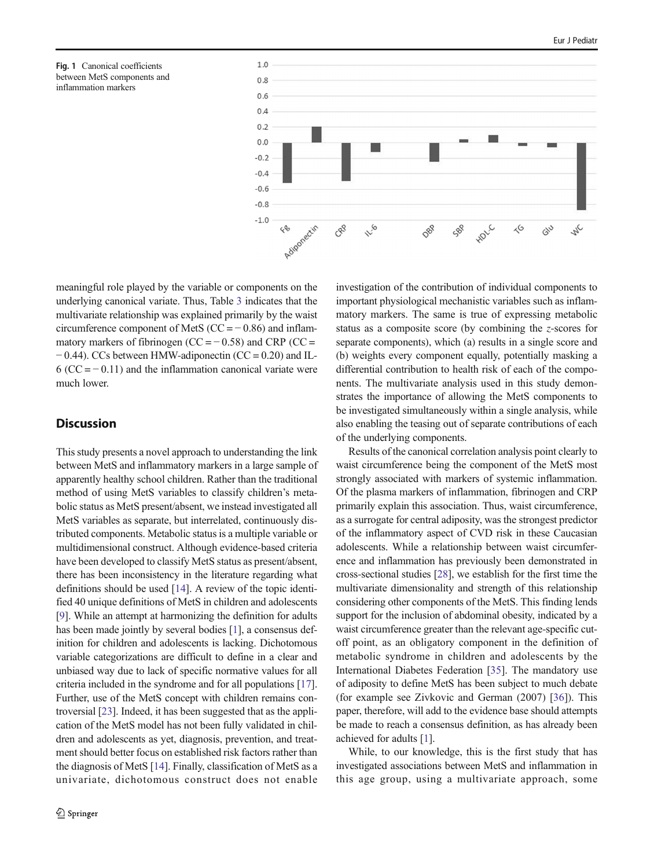<span id="page-5-0"></span>



meaningful role played by the variable or components on the underlying canonical variate. Thus, Table [3](#page-4-0) indicates that the multivariate relationship was explained primarily by the waist circumference component of MetS ( $CC = -0.86$ ) and inflammatory markers of fibrinogen ( $CC = -0.58$ ) and CRP ( $CC =$  $-0.44$ ). CCs between HMW-adiponectin (CC = 0.20) and IL-6 ( $CC = -0.11$ ) and the inflammation canonical variate were much lower.

# **Discussion**

This study presents a novel approach to understanding the link between MetS and inflammatory markers in a large sample of apparently healthy school children. Rather than the traditional method of using MetS variables to classify children's metabolic status as MetS present/absent, we instead investigated all MetS variables as separate, but interrelated, continuously distributed components. Metabolic status is a multiple variable or multidimensional construct. Although evidence-based criteria have been developed to classify MetS status as present/absent, there has been inconsistency in the literature regarding what definitions should be used [\[14](#page-7-0)]. A review of the topic identified 40 unique definitions of MetS in children and adolescents [\[9](#page-7-0)]. While an attempt at harmonizing the definition for adults has been made jointly by several bodies [[1\]](#page-7-0), a consensus definition for children and adolescents is lacking. Dichotomous variable categorizations are difficult to define in a clear and unbiased way due to lack of specific normative values for all criteria included in the syndrome and for all populations [[17\]](#page-7-0). Further, use of the MetS concept with children remains controversial [[23](#page-7-0)]. Indeed, it has been suggested that as the application of the MetS model has not been fully validated in children and adolescents as yet, diagnosis, prevention, and treatment should better focus on established risk factors rather than the diagnosis of MetS [\[14\]](#page-7-0). Finally, classification of MetS as a univariate, dichotomous construct does not enable investigation of the contribution of individual components to important physiological mechanistic variables such as inflammatory markers. The same is true of expressing metabolic status as a composite score (by combining the z-scores for separate components), which (a) results in a single score and (b) weights every component equally, potentially masking a differential contribution to health risk of each of the components. The multivariate analysis used in this study demonstrates the importance of allowing the MetS components to be investigated simultaneously within a single analysis, while also enabling the teasing out of separate contributions of each of the underlying components.

Results of the canonical correlation analysis point clearly to waist circumference being the component of the MetS most strongly associated with markers of systemic inflammation. Of the plasma markers of inflammation, fibrinogen and CRP primarily explain this association. Thus, waist circumference, as a surrogate for central adiposity, was the strongest predictor of the inflammatory aspect of CVD risk in these Caucasian adolescents. While a relationship between waist circumference and inflammation has previously been demonstrated in cross-sectional studies [\[28](#page-8-0)], we establish for the first time the multivariate dimensionality and strength of this relationship considering other components of the MetS. This finding lends support for the inclusion of abdominal obesity, indicated by a waist circumference greater than the relevant age-specific cutoff point, as an obligatory component in the definition of metabolic syndrome in children and adolescents by the International Diabetes Federation [[35\]](#page-8-0). The mandatory use of adiposity to define MetS has been subject to much debate (for example see Zivkovic and German (2007) [\[36](#page-8-0)]). This paper, therefore, will add to the evidence base should attempts be made to reach a consensus definition, as has already been achieved for adults [[1\]](#page-7-0).

While, to our knowledge, this is the first study that has investigated associations between MetS and inflammation in this age group, using a multivariate approach, some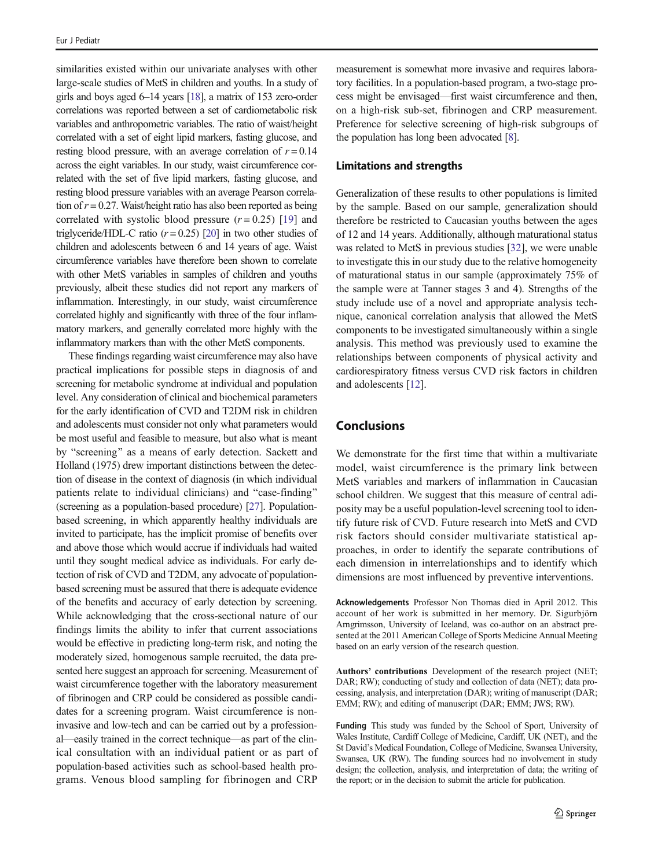similarities existed within our univariate analyses with other large-scale studies of MetS in children and youths. In a study of girls and boys aged 6–14 years [\[18](#page-7-0)], a matrix of 153 zero-order correlations was reported between a set of cardiometabolic risk variables and anthropometric variables. The ratio of waist/height correlated with a set of eight lipid markers, fasting glucose, and resting blood pressure, with an average correlation of  $r = 0.14$ across the eight variables. In our study, waist circumference correlated with the set of five lipid markers, fasting glucose, and resting blood pressure variables with an average Pearson correlation of  $r = 0.27$ . Waist/height ratio has also been reported as being correlated with systolic blood pressure  $(r = 0.25)$  [[19\]](#page-7-0) and triglyceride/HDL-C ratio  $(r = 0.25)$  [\[20\]](#page-7-0) in two other studies of children and adolescents between 6 and 14 years of age. Waist circumference variables have therefore been shown to correlate with other MetS variables in samples of children and youths previously, albeit these studies did not report any markers of inflammation. Interestingly, in our study, waist circumference correlated highly and significantly with three of the four inflammatory markers, and generally correlated more highly with the inflammatory markers than with the other MetS components.

These findings regarding waist circumference may also have practical implications for possible steps in diagnosis of and screening for metabolic syndrome at individual and population level. Any consideration of clinical and biochemical parameters for the early identification of CVD and T2DM risk in children and adolescents must consider not only what parameters would be most useful and feasible to measure, but also what is meant by "screening" as a means of early detection. Sackett and Holland (1975) drew important distinctions between the detection of disease in the context of diagnosis (in which individual patients relate to individual clinicians) and "case-finding" (screening as a population-based procedure) [\[27](#page-8-0)]. Populationbased screening, in which apparently healthy individuals are invited to participate, has the implicit promise of benefits over and above those which would accrue if individuals had waited until they sought medical advice as individuals. For early detection of risk of CVD and T2DM, any advocate of populationbased screening must be assured that there is adequate evidence of the benefits and accuracy of early detection by screening. While acknowledging that the cross-sectional nature of our findings limits the ability to infer that current associations would be effective in predicting long-term risk, and noting the moderately sized, homogenous sample recruited, the data presented here suggest an approach for screening. Measurement of waist circumference together with the laboratory measurement of fibrinogen and CRP could be considered as possible candidates for a screening program. Waist circumference is noninvasive and low-tech and can be carried out by a professional—easily trained in the correct technique—as part of the clinical consultation with an individual patient or as part of population-based activities such as school-based health programs. Venous blood sampling for fibrinogen and CRP

measurement is somewhat more invasive and requires laboratory facilities. In a population-based program, a two-stage process might be envisaged—first waist circumference and then, on a high-risk sub-set, fibrinogen and CRP measurement. Preference for selective screening of high-risk subgroups of the population has long been advocated [\[8\]](#page-7-0).

### Limitations and strengths

Generalization of these results to other populations is limited by the sample. Based on our sample, generalization should therefore be restricted to Caucasian youths between the ages of 12 and 14 years. Additionally, although maturational status was related to MetS in previous studies [\[32\]](#page-8-0), we were unable to investigate this in our study due to the relative homogeneity of maturational status in our sample (approximately 75% of the sample were at Tanner stages 3 and 4). Strengths of the study include use of a novel and appropriate analysis technique, canonical correlation analysis that allowed the MetS components to be investigated simultaneously within a single analysis. This method was previously used to examine the relationships between components of physical activity and cardiorespiratory fitness versus CVD risk factors in children and adolescents [\[12\]](#page-7-0).

# Conclusions

We demonstrate for the first time that within a multivariate model, waist circumference is the primary link between MetS variables and markers of inflammation in Caucasian school children. We suggest that this measure of central adiposity may be a useful population-level screening tool to identify future risk of CVD. Future research into MetS and CVD risk factors should consider multivariate statistical approaches, in order to identify the separate contributions of each dimension in interrelationships and to identify which dimensions are most influenced by preventive interventions.

Acknowledgements Professor Non Thomas died in April 2012. This account of her work is submitted in her memory. Dr. Sigurbjörn Arngrimsson, University of Iceland, was co-author on an abstract presented at the 2011 American College of Sports Medicine Annual Meeting based on an early version of the research question.

Authors' contributions Development of the research project (NET; DAR; RW); conducting of study and collection of data (NET); data processing, analysis, and interpretation (DAR); writing of manuscript (DAR; EMM; RW); and editing of manuscript (DAR; EMM; JWS; RW).

Funding This study was funded by the School of Sport, University of Wales Institute, Cardiff College of Medicine, Cardiff, UK (NET), and the St David's Medical Foundation, College of Medicine, Swansea University, Swansea, UK (RW). The funding sources had no involvement in study design; the collection, analysis, and interpretation of data; the writing of the report; or in the decision to submit the article for publication.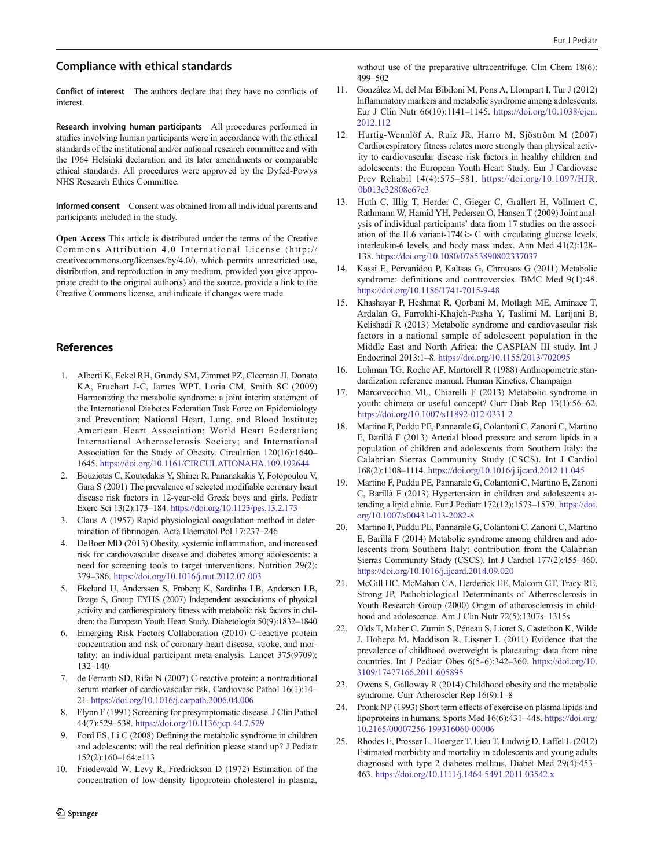## <span id="page-7-0"></span>Compliance with ethical standards

Conflict of interest The authors declare that they have no conflicts of interest.

Research involving human participants All procedures performed in studies involving human participants were in accordance with the ethical standards of the institutional and/or national research committee and with the 1964 Helsinki declaration and its later amendments or comparable ethical standards. All procedures were approved by the Dyfed-Powys NHS Research Ethics Committee.

Informed consent Consent was obtained from all individual parents and participants included in the study.

Open Access This article is distributed under the terms of the Creative Commons Attribution 4.0 International License (http:// creativecommons.org/licenses/by/4.0/), which permits unrestricted use, distribution, and reproduction in any medium, provided you give appropriate credit to the original author(s) and the source, provide a link to the Creative Commons license, and indicate if changes were made.

# **References**

- 1. Alberti K, Eckel RH, Grundy SM, Zimmet PZ, Cleeman JI, Donato KA, Fruchart J-C, James WPT, Loria CM, Smith SC (2009) Harmonizing the metabolic syndrome: a joint interim statement of the International Diabetes Federation Task Force on Epidemiology and Prevention; National Heart, Lung, and Blood Institute; American Heart Association; World Heart Federation; International Atherosclerosis Society; and International Association for the Study of Obesity. Circulation 120(16):1640– 1645. <https://doi.org/10.1161/CIRCULATIONAHA.109.192644>
- 2. Bouziotas C, Koutedakis Y, Shiner R, Pananakakis Y, Fotopoulou V, Gara S (2001) The prevalence of selected modifiable coronary heart disease risk factors in 12-year-old Greek boys and girls. Pediatr Exerc Sci 13(2):173–184. <https://doi.org/10.1123/pes.13.2.173>
- 3. Claus A (1957) Rapid physiological coagulation method in determination of fibrinogen. Acta Haematol Pol 17:237–246
- 4. DeBoer MD (2013) Obesity, systemic inflammation, and increased risk for cardiovascular disease and diabetes among adolescents: a need for screening tools to target interventions. Nutrition 29(2): 379–386. <https://doi.org/10.1016/j.nut.2012.07.003>
- 5. Ekelund U, Anderssen S, Froberg K, Sardinha LB, Andersen LB, Brage S, Group EYHS (2007) Independent associations of physical activity and cardiorespiratory fitness with metabolic risk factors in children: the European Youth Heart Study. Diabetologia 50(9):1832–1840
- Emerging Risk Factors Collaboration (2010) C-reactive protein concentration and risk of coronary heart disease, stroke, and mortality: an individual participant meta-analysis. Lancet 375(9709): 132–140
- 7. de Ferranti SD, Rifai N (2007) C-reactive protein: a nontraditional serum marker of cardiovascular risk. Cardiovasc Pathol 16(1):14– 21. <https://doi.org/10.1016/j.carpath.2006.04.006>
- 8. Flynn F (1991) Screening for presymptomatic disease. J Clin Pathol 44(7):529–538. <https://doi.org/10.1136/jcp.44.7.529>
- 9. Ford ES, Li C (2008) Defining the metabolic syndrome in children and adolescents: will the real definition please stand up? J Pediatr 152(2):160–164.e113
- 10. Friedewald W, Levy R, Fredrickson D (1972) Estimation of the concentration of low-density lipoprotein cholesterol in plasma,

without use of the preparative ultracentrifuge. Clin Chem 18(6): 499–502

- 11. González M, del Mar Bibiloni M, Pons A, Llompart I, Tur J (2012) Inflammatory markers and metabolic syndrome among adolescents. Eur J Clin Nutr 66(10):1141–1145. [https://doi.org/10.1038/ejcn.](https://doi.org/10.1038/ejcn.2012.112) [2012.112](https://doi.org/10.1038/ejcn.2012.112)
- 12. Hurtig-Wennlöf A, Ruiz JR, Harro M, Sjöström M (2007) Cardiorespiratory fitness relates more strongly than physical activity to cardiovascular disease risk factors in healthy children and adolescents: the European Youth Heart Study. Eur J Cardiovasc Prev Rehabil 14(4):575–581. [https://doi.org/10.1097/HJR.](https://doi.org/10.1097/HJR.0b013e32808c67e3) [0b013e32808c67e3](https://doi.org/10.1097/HJR.0b013e32808c67e3)
- 13. Huth C, Illig T, Herder C, Gieger C, Grallert H, Vollmert C, Rathmann W, Hamid YH, Pedersen O, Hansen T (2009) Joint analysis of individual participants' data from 17 studies on the association of the IL6 variant-174G> C with circulating glucose levels, interleukin-6 levels, and body mass index. Ann Med 41(2):128– 138. <https://doi.org/10.1080/07853890802337037>
- 14. Kassi E, Pervanidou P, Kaltsas G, Chrousos G (2011) Metabolic syndrome: definitions and controversies. BMC Med 9(1):48. <https://doi.org/10.1186/1741-7015-9-48>
- 15. Khashayar P, Heshmat R, Qorbani M, Motlagh ME, Aminaee T, Ardalan G, Farrokhi-Khajeh-Pasha Y, Taslimi M, Larijani B, Kelishadi R (2013) Metabolic syndrome and cardiovascular risk factors in a national sample of adolescent population in the Middle East and North Africa: the CASPIAN III study. Int J Endocrinol 2013:1–8. <https://doi.org/10.1155/2013/702095>
- 16. Lohman TG, Roche AF, Martorell R (1988) Anthropometric standardization reference manual. Human Kinetics, Champaign
- 17. Marcovecchio ML, Chiarelli F (2013) Metabolic syndrome in youth: chimera or useful concept? Curr Diab Rep 13(1):56–62. <https://doi.org/10.1007/s11892-012-0331-2>
- 18. Martino F, Puddu PE, Pannarale G, Colantoni C, Zanoni C, Martino E, Barillà F (2013) Arterial blood pressure and serum lipids in a population of children and adolescents from Southern Italy: the Calabrian Sierras Community Study (CSCS). Int J Cardiol 168(2):1108–1114. <https://doi.org/10.1016/j.ijcard.2012.11.045>
- 19. Martino F, Puddu PE, Pannarale G, Colantoni C, Martino E, Zanoni C, Barillà F (2013) Hypertension in children and adolescents attending a lipid clinic. Eur J Pediatr 172(12):1573–1579. [https://doi.](https://doi.org/10.1007/s00431-013-2082-8) [org/10.1007/s00431-013-2082-8](https://doi.org/10.1007/s00431-013-2082-8)
- 20. Martino F, Puddu PE, Pannarale G, Colantoni C, Zanoni C, Martino E, Barillà F (2014) Metabolic syndrome among children and adolescents from Southern Italy: contribution from the Calabrian Sierras Community Study (CSCS). Int J Cardiol 177(2):455–460. <https://doi.org/10.1016/j.ijcard.2014.09.020>
- 21. McGill HC, McMahan CA, Herderick EE, Malcom GT, Tracy RE, Strong JP, Pathobiological Determinants of Atherosclerosis in Youth Research Group (2000) Origin of atherosclerosis in childhood and adolescence. Am J Clin Nutr 72(5):1307s–1315s
- 22. Olds T, Maher C, Zumin S, Péneau S, Lioret S, Castetbon K, Wilde J, Hohepa M, Maddison R, Lissner L (2011) Evidence that the prevalence of childhood overweight is plateauing: data from nine countries. Int J Pediatr Obes 6(5–6):342–360. [https://doi.org/10.](https://doi.org/10.3109/17477166.2011.605895) [3109/17477166.2011.605895](https://doi.org/10.3109/17477166.2011.605895)
- 23. Owens S, Galloway R (2014) Childhood obesity and the metabolic syndrome. Curr Atheroscler Rep 16(9):1–8
- 24. Pronk NP (1993) Short term effects of exercise on plasma lipids and lipoproteins in humans. Sports Med 16(6):431–448. [https://doi.org/](https://doi.org/10.2165/00007256-199316060-00006) [10.2165/00007256-199316060-00006](https://doi.org/10.2165/00007256-199316060-00006)
- 25. Rhodes E, Prosser L, Hoerger T, Lieu T, Ludwig D, Laffel L (2012) Estimated morbidity and mortality in adolescents and young adults diagnosed with type 2 diabetes mellitus. Diabet Med 29(4):453– 463. <https://doi.org/10.1111/j.1464-5491.2011.03542.x>